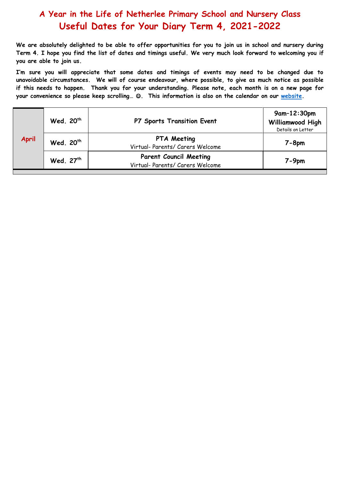## **A Year in the Life of Netherlee Primary School and Nursery Class Useful Dates for Your Diary Term 4, 2021-2022**

**We are absolutely delighted to be able to offer opportunities for you to join us in school and nursery during Term 4. I hope you find the list of dates and timings useful. We very much look forward to welcoming you if you are able to join us.**

**I'm sure you will appreciate that some dates and timings of events may need to be changed due to unavoidable circumstances. We will of course endeavour, where possible, to give as much notice as possible if this needs to happen. Thank you for your understanding. Please note, each month is on a new page for your convenience so please keep scrolling… . This information is also on the calendar on our [website.](https://blogs.glowscotland.org.uk/er/Netherlee/)** 

| <b>April</b> | Wed. 20 <sup>th</sup> | P7 Sports Transition Event                                        | $9$ am-12:30pm<br>Williamwood High<br>Details on Letter |
|--------------|-----------------------|-------------------------------------------------------------------|---------------------------------------------------------|
|              | Wed. 20 <sup>th</sup> | <b>PTA Meeting</b><br>Virtual- Parents/ Carers Welcome            | $7 - 8$ pm                                              |
|              | Wed. 27th             | <b>Parent Council Meeting</b><br>Virtual- Parents/ Carers Welcome | $7 - 9$ pm                                              |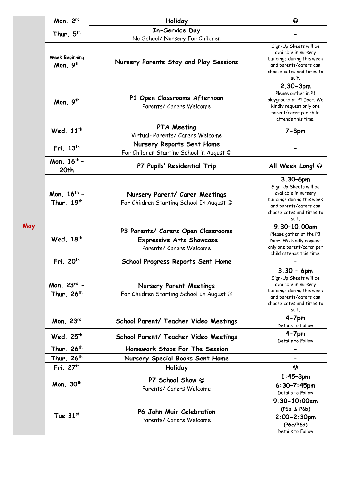| May | Mon. 2nd                                          | Holiday                                                                                          | $\odot$                                                                                                                                                       |
|-----|---------------------------------------------------|--------------------------------------------------------------------------------------------------|---------------------------------------------------------------------------------------------------------------------------------------------------------------|
|     | Thur. 5 <sup>th</sup>                             | In-Service Day                                                                                   |                                                                                                                                                               |
|     |                                                   | No School/ Nursery For Children                                                                  |                                                                                                                                                               |
|     | <b>Week Beginning</b><br>Mon. 9th                 | Nursery Parents Stay and Play Sessions                                                           | Sign-Up Sheets will be<br>available in nursery<br>buildings during this week<br>and parents/carers can<br>choose dates and times to<br>suit.                  |
|     | Mon. 9th                                          | P1 Open Classrooms Afternoon<br>Parents/ Carers Welcome                                          | $2.30 - 3pm$<br>Please gather in P1<br>playground at P1 Door. We<br>kindly request only one<br>parent/carer per child<br>attends this time.                   |
|     | Wed. 11 <sup>th</sup>                             | <b>PTA Meeting</b><br>Virtual- Parents/ Carers Welcome                                           | $7 - 8$ pm                                                                                                                                                    |
|     | Fri. 13 <sup>th</sup>                             | Nursery Reports Sent Home<br>For Children Starting School in August @                            |                                                                                                                                                               |
|     | Mon. 16 <sup>th</sup> -<br>20 <sub>th</sub>       | P7 Pupils' Residential Trip                                                                      | All Week Long! ©                                                                                                                                              |
|     | Mon. 16 <sup>th</sup> -<br>Thur. 19 <sup>th</sup> | Nursery Parent/ Carer Meetings<br>For Children Starting School In August @                       | $3.30 - 6pm$<br>Sign-Up Sheets will be<br>available in nursery<br>buildings during this week<br>and parents/carers can<br>choose dates and times to<br>suit.  |
|     | Wed. 18 <sup>th</sup>                             | P3 Parents/ Carers Open Classrooms<br><b>Expressive Arts Showcase</b><br>Parents/ Carers Welcome | 9.30-10.00am<br>Please gather at the P3<br>Door. We kindly request<br>only one parent/carer per<br>child attends this time.                                   |
|     | Fri. 20 <sup>th</sup>                             | School Progress Reports Sent Home                                                                |                                                                                                                                                               |
|     | Mon. 23rd -<br>Thur. 26 <sup>th</sup>             | <b>Nursery Parent Meetings</b><br>For Children Starting School In August @                       | $3.30 - 6$ pm<br>Sign-Up Sheets will be<br>available in nursery<br>buildings during this week<br>and parents/carers can<br>choose dates and times to<br>suit. |
|     | Mon. 23rd                                         | School Parent/ Teacher Video Meetings                                                            | $4 - 7pm$<br>Details to Follow                                                                                                                                |
|     | Wed. 25th                                         | School Parent/ Teacher Video Meetings                                                            | $4 - 7$ pm<br>Details to Follow                                                                                                                               |
|     | Thur. 26 <sup>th</sup>                            | Homework Stops For The Session                                                                   |                                                                                                                                                               |
|     | Thur. 26 <sup>th</sup>                            | Nursery Special Books Sent Home                                                                  |                                                                                                                                                               |
|     | Fri. 27th                                         | Holiday                                                                                          | $\odot$                                                                                                                                                       |
|     | Mon. 30 <sup>th</sup>                             | P7 School Show $\odot$<br>Parents/ Carers Welcome                                                | $1:45 - 3pm$<br>$6:30 - 7:45$ pm<br>Details to Follow                                                                                                         |
|     | Tue $31$ <sup>st</sup>                            | P6 John Muir Celebration<br>Parents/ Carers Welcome                                              | 9.30-10:00am<br>(P6a & P6b)<br>$2:00 - 2:30$ pm<br>(P6c/P6d)<br>Details to Follow                                                                             |